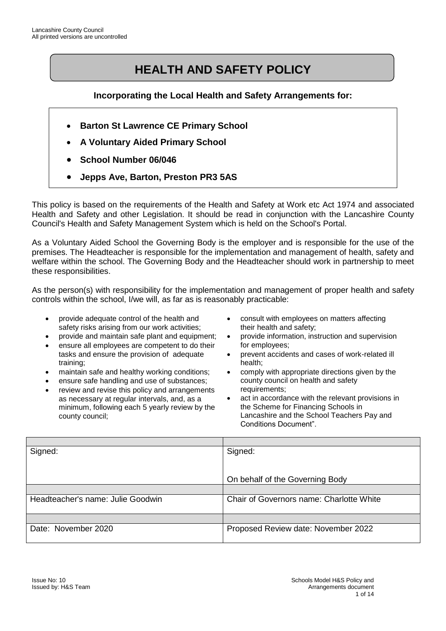# **HEALTH AND SAFETY POLICY**

#### **Incorporating the Local Health and Safety Arrangements for:**

- **Barton St Lawrence CE Primary School**
- **A Voluntary Aided Primary School**
- **School Number 06/046**
- **Jepps Ave, Barton, Preston PR3 5AS**

This policy is based on the requirements of the Health and Safety at Work etc Act 1974 and associated Health and Safety and other Legislation. It should be read in conjunction with the Lancashire County Council's Health and Safety Management System which is held on the School's Portal.

As a Voluntary Aided School the Governing Body is the employer and is responsible for the use of the premises. The Headteacher is responsible for the implementation and management of health, safety and welfare within the school. The Governing Body and the Headteacher should work in partnership to meet these responsibilities.

As the person(s) with responsibility for the implementation and management of proper health and safety controls within the school, I/we will, as far as is reasonably practicable:

- provide adequate control of the health and safety risks arising from our work activities;
- provide and maintain safe plant and equipment;
- ensure all employees are competent to do their tasks and ensure the provision of adequate training;
- maintain safe and healthy working conditions;
- ensure safe handling and use of substances;
- review and revise this policy and arrangements as necessary at regular intervals, and, as a minimum, following each 5 yearly review by the county council;
- consult with employees on matters affecting their health and safety;
- provide information, instruction and supervision for employees;
- prevent accidents and cases of work-related ill health;
- comply with appropriate directions given by the county council on health and safety requirements;
- act in accordance with the relevant provisions in the Scheme for Financing Schools in Lancashire and the School Teachers Pay and Conditions Document".

| Signed:                           | Signed:                                  |
|-----------------------------------|------------------------------------------|
|                                   |                                          |
|                                   |                                          |
|                                   | On behalf of the Governing Body          |
|                                   |                                          |
| Headteacher's name: Julie Goodwin | Chair of Governors name: Charlotte White |
|                                   |                                          |
|                                   |                                          |
| Date: November 2020               | Proposed Review date: November 2022      |
|                                   |                                          |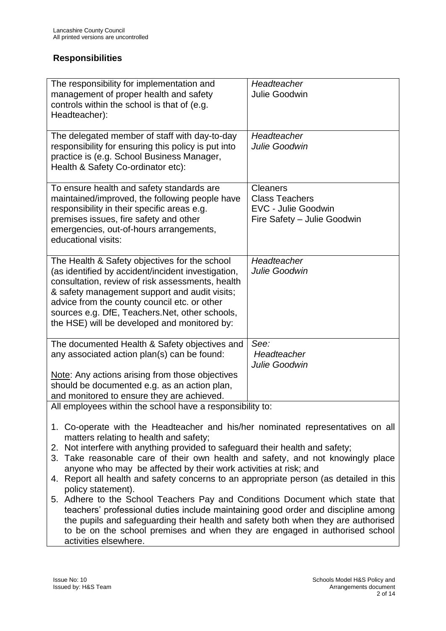#### **Responsibilities**

| The responsibility for implementation and<br>management of proper health and safety<br>controls within the school is that of (e.g.<br>Headteacher):                                                                                                                                                                                                                                                                                                                                                                                                                                                                                                                                                                  | Headteacher<br><b>Julie Goodwin</b>                                                     |  |
|----------------------------------------------------------------------------------------------------------------------------------------------------------------------------------------------------------------------------------------------------------------------------------------------------------------------------------------------------------------------------------------------------------------------------------------------------------------------------------------------------------------------------------------------------------------------------------------------------------------------------------------------------------------------------------------------------------------------|-----------------------------------------------------------------------------------------|--|
| The delegated member of staff with day-to-day<br>responsibility for ensuring this policy is put into<br>practice is (e.g. School Business Manager,<br>Health & Safety Co-ordinator etc):                                                                                                                                                                                                                                                                                                                                                                                                                                                                                                                             | Headteacher<br>Julie Goodwin                                                            |  |
| To ensure health and safety standards are<br>maintained/improved, the following people have<br>responsibility in their specific areas e.g.<br>premises issues, fire safety and other<br>emergencies, out-of-hours arrangements,<br>educational visits:                                                                                                                                                                                                                                                                                                                                                                                                                                                               | Cleaners<br><b>Class Teachers</b><br>EVC - Julie Goodwin<br>Fire Safety - Julie Goodwin |  |
| The Health & Safety objectives for the school<br>(as identified by accident/incident investigation,<br>consultation, review of risk assessments, health<br>& safety management support and audit visits;<br>advice from the county council etc. or other<br>sources e.g. DfE, Teachers. Net, other schools,<br>the HSE) will be developed and monitored by:                                                                                                                                                                                                                                                                                                                                                          | Headteacher<br>Julie Goodwin                                                            |  |
| The documented Health & Safety objectives and<br>any associated action plan(s) can be found:<br>Note: Any actions arising from those objectives<br>should be documented e.g. as an action plan,<br>and monitored to ensure they are achieved.                                                                                                                                                                                                                                                                                                                                                                                                                                                                        | See:<br>Headteacher<br>Julie Goodwin                                                    |  |
| All employees within the school have a responsibility to:<br>1. Co-operate with the Headteacher and his/her nominated representatives on all<br>matters relating to health and safety;<br>2. Not interfere with anything provided to safeguard their health and safety;<br>3. Take reasonable care of their own health and safety, and not knowingly place<br>anyone who may be affected by their work activities at risk; and<br>4. Report all health and safety concerns to an appropriate person (as detailed in this<br>policy statement).<br>5. Adhere to the School Teachers Pay and Conditions Document which state that<br>teachers' professional duties include maintaining good order and discipline among |                                                                                         |  |

teachers' professional duties include maintaining good order and discipline among the pupils and safeguarding their health and safety both when they are authorised to be on the school premises and when they are engaged in authorised school activities elsewhere.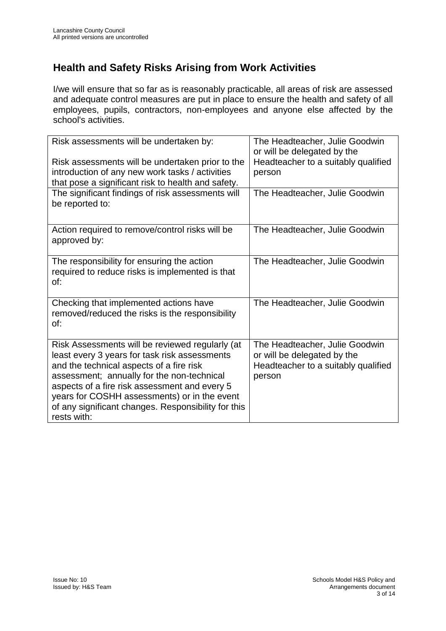# **Health and Safety Risks Arising from Work Activities**

I/we will ensure that so far as is reasonably practicable, all areas of risk are assessed and adequate control measures are put in place to ensure the health and safety of all employees, pupils, contractors, non-employees and anyone else affected by the school's activities.

| Risk assessments will be undertaken by:             | The Headteacher, Julie Goodwin<br>or will be delegated by the |
|-----------------------------------------------------|---------------------------------------------------------------|
| Risk assessments will be undertaken prior to the    | Headteacher to a suitably qualified                           |
| introduction of any new work tasks / activities     | person                                                        |
| that pose a significant risk to health and safety.  |                                                               |
| The significant findings of risk assessments will   | The Headteacher, Julie Goodwin                                |
| be reported to:                                     |                                                               |
|                                                     |                                                               |
| Action required to remove/control risks will be     | The Headteacher, Julie Goodwin                                |
| approved by:                                        |                                                               |
| The responsibility for ensuring the action          | The Headteacher, Julie Goodwin                                |
| required to reduce risks is implemented is that     |                                                               |
| of:                                                 |                                                               |
|                                                     |                                                               |
| Checking that implemented actions have              | The Headteacher, Julie Goodwin                                |
| removed/reduced the risks is the responsibility     |                                                               |
| of:                                                 |                                                               |
| Risk Assessments will be reviewed regularly (at     | The Headteacher, Julie Goodwin                                |
| least every 3 years for task risk assessments       | or will be delegated by the                                   |
| and the technical aspects of a fire risk            | Headteacher to a suitably qualified                           |
| assessment; annually for the non-technical          | person                                                        |
| aspects of a fire risk assessment and every 5       |                                                               |
| years for COSHH assessments) or in the event        |                                                               |
| of any significant changes. Responsibility for this |                                                               |
| rests with:                                         |                                                               |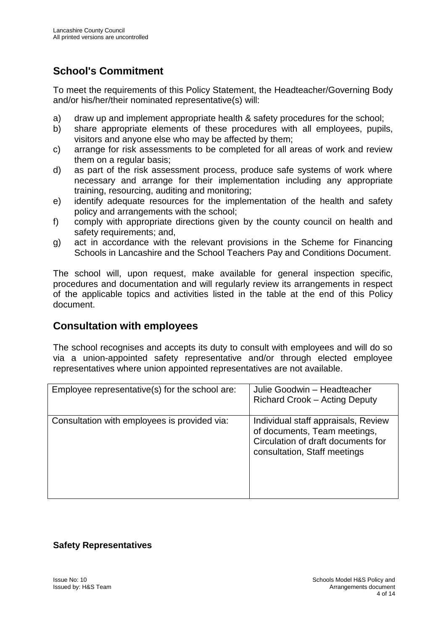# **School's Commitment**

To meet the requirements of this Policy Statement, the Headteacher/Governing Body and/or his/her/their nominated representative(s) will:

- a) draw up and implement appropriate health & safety procedures for the school;
- b) share appropriate elements of these procedures with all employees, pupils, visitors and anyone else who may be affected by them;
- c) arrange for risk assessments to be completed for all areas of work and review them on a regular basis;
- d) as part of the risk assessment process, produce safe systems of work where necessary and arrange for their implementation including any appropriate training, resourcing, auditing and monitoring;
- e) identify adequate resources for the implementation of the health and safety policy and arrangements with the school;
- f) comply with appropriate directions given by the county council on health and safety requirements; and,
- g) act in accordance with the relevant provisions in the Scheme for Financing Schools in Lancashire and the School Teachers Pay and Conditions Document.

The school will, upon request, make available for general inspection specific, procedures and documentation and will regularly review its arrangements in respect of the applicable topics and activities listed in the table at the end of this Policy document.

### **Consultation with employees**

The school recognises and accepts its duty to consult with employees and will do so via a union-appointed safety representative and/or through elected employee representatives where union appointed representatives are not available.

| Employee representative(s) for the school are: | Julie Goodwin - Headteacher<br><b>Richard Crook - Acting Deputy</b>                                                                       |
|------------------------------------------------|-------------------------------------------------------------------------------------------------------------------------------------------|
| Consultation with employees is provided via:   | Individual staff appraisals, Review<br>of documents, Team meetings,<br>Circulation of draft documents for<br>consultation, Staff meetings |

#### **Safety Representatives**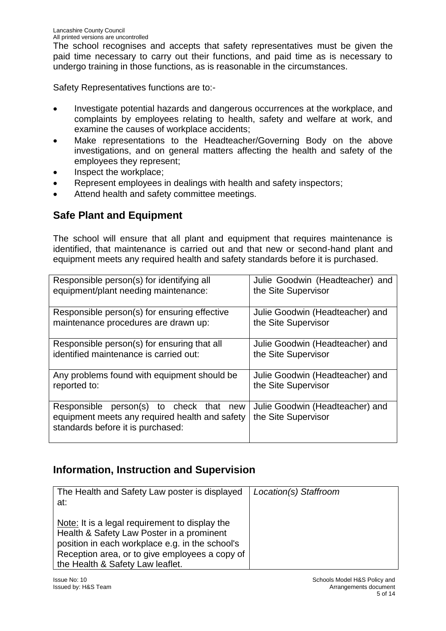The school recognises and accepts that safety representatives must be given the paid time necessary to carry out their functions, and paid time as is necessary to undergo training in those functions, as is reasonable in the circumstances.

Safety Representatives functions are to:-

- Investigate potential hazards and dangerous occurrences at the workplace, and complaints by employees relating to health, safety and welfare at work, and examine the causes of workplace accidents;
- Make representations to the Headteacher/Governing Body on the above investigations, and on general matters affecting the health and safety of the employees they represent;
- Inspect the workplace;
- Represent employees in dealings with health and safety inspectors;
- Attend health and safety committee meetings.

# **Safe Plant and Equipment**

The school will ensure that all plant and equipment that requires maintenance is identified, that maintenance is carried out and that new or second-hand plant and equipment meets any required health and safety standards before it is purchased.

| Responsible person(s) for identifying all                                                                                            | Julie Goodwin (Headteacher) and                        |
|--------------------------------------------------------------------------------------------------------------------------------------|--------------------------------------------------------|
| equipment/plant needing maintenance:                                                                                                 | the Site Supervisor                                    |
| Responsible person(s) for ensuring effective                                                                                         | Julie Goodwin (Headteacher) and                        |
| maintenance procedures are drawn up:                                                                                                 | the Site Supervisor                                    |
| Responsible person(s) for ensuring that all                                                                                          | Julie Goodwin (Headteacher) and                        |
| identified maintenance is carried out:                                                                                               | the Site Supervisor                                    |
| Any problems found with equipment should be                                                                                          | Julie Goodwin (Headteacher) and                        |
| reported to:                                                                                                                         | the Site Supervisor                                    |
| person(s) to check that<br>Responsible<br>new<br>equipment meets any required health and safety<br>standards before it is purchased: | Julie Goodwin (Headteacher) and<br>the Site Supervisor |

### **Information, Instruction and Supervision**

| The Health and Safety Law poster is displayed<br>at:                                                                                                                                                                                 | Location(s) Staffroom |
|--------------------------------------------------------------------------------------------------------------------------------------------------------------------------------------------------------------------------------------|-----------------------|
| Note: It is a legal requirement to display the<br>Health & Safety Law Poster in a prominent<br>position in each workplace e.g. in the school's<br>Reception area, or to give employees a copy of<br>the Health & Safety Law leaflet. |                       |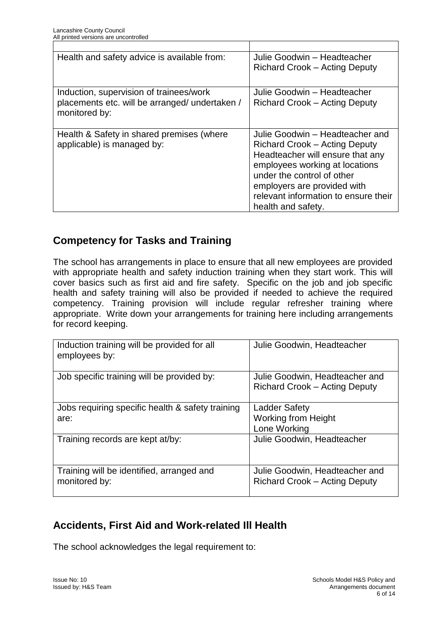| Health and safety advice is available from:                                                                | Julie Goodwin - Headteacher<br><b>Richard Crook – Acting Deputy</b>                                                                                                                                                                                                      |
|------------------------------------------------------------------------------------------------------------|--------------------------------------------------------------------------------------------------------------------------------------------------------------------------------------------------------------------------------------------------------------------------|
| Induction, supervision of trainees/work<br>placements etc. will be arranged/ undertaken /<br>monitored by: | Julie Goodwin - Headteacher<br>Richard Crook - Acting Deputy                                                                                                                                                                                                             |
| Health & Safety in shared premises (where<br>applicable) is managed by:                                    | Julie Goodwin - Headteacher and<br><b>Richard Crook – Acting Deputy</b><br>Headteacher will ensure that any<br>employees working at locations<br>under the control of other<br>employers are provided with<br>relevant information to ensure their<br>health and safety. |

# **Competency for Tasks and Training**

The school has arrangements in place to ensure that all new employees are provided with appropriate health and safety induction training when they start work. This will cover basics such as first aid and fire safety. Specific on the job and job specific health and safety training will also be provided if needed to achieve the required competency. Training provision will include regular refresher training where appropriate. Write down your arrangements for training here including arrangements for record keeping.

| Induction training will be provided for all<br>employees by: | Julie Goodwin, Headteacher                                             |
|--------------------------------------------------------------|------------------------------------------------------------------------|
| Job specific training will be provided by:                   | Julie Goodwin, Headteacher and<br>Richard Crook - Acting Deputy        |
| Jobs requiring specific health & safety training<br>are:     | <b>Ladder Safety</b><br><b>Working from Height</b><br>Lone Working     |
| Training records are kept at/by:                             | Julie Goodwin, Headteacher                                             |
| Training will be identified, arranged and<br>monitored by:   | Julie Goodwin, Headteacher and<br><b>Richard Crook - Acting Deputy</b> |

# **Accidents, First Aid and Work-related Ill Health**

The school acknowledges the legal requirement to: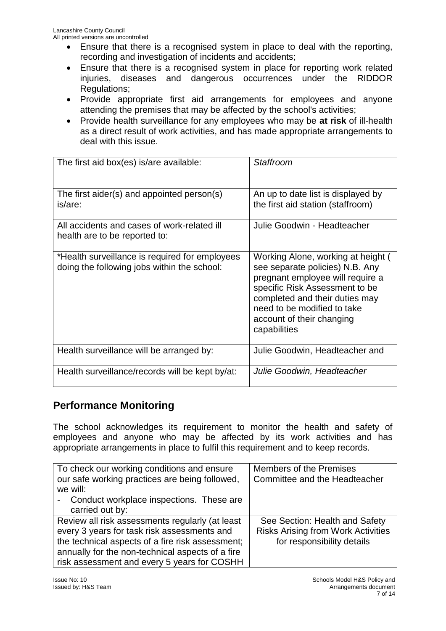- Ensure that there is a recognised system in place to deal with the reporting, recording and investigation of incidents and accidents;
- Ensure that there is a recognised system in place for reporting work related injuries, diseases and dangerous occurrences under the RIDDOR Regulations;
- Provide appropriate first aid arrangements for employees and anyone attending the premises that may be affected by the school's activities;
- Provide health surveillance for any employees who may be **at risk** of ill-health as a direct result of work activities, and has made appropriate arrangements to deal with this issue.

| The first aid box(es) is/are available:                                                       | Staffroom                                                                                                                                                                                                                                                 |
|-----------------------------------------------------------------------------------------------|-----------------------------------------------------------------------------------------------------------------------------------------------------------------------------------------------------------------------------------------------------------|
| The first aider(s) and appointed person(s)<br>is/are:                                         | An up to date list is displayed by<br>the first aid station (staffroom)                                                                                                                                                                                   |
| All accidents and cases of work-related ill<br>health are to be reported to:                  | Julie Goodwin - Headteacher                                                                                                                                                                                                                               |
| *Health surveillance is required for employees<br>doing the following jobs within the school: | Working Alone, working at height (<br>see separate policies) N.B. Any<br>pregnant employee will require a<br>specific Risk Assessment to be<br>completed and their duties may<br>need to be modified to take<br>account of their changing<br>capabilities |
| Health surveillance will be arranged by:                                                      | Julie Goodwin, Headteacher and                                                                                                                                                                                                                            |
| Health surveillance/records will be kept by/at:                                               | Julie Goodwin, Headteacher                                                                                                                                                                                                                                |

### **Performance Monitoring**

The school acknowledges its requirement to monitor the health and safety of employees and anyone who may be affected by its work activities and has appropriate arrangements in place to fulfil this requirement and to keep records.

| To check our working conditions and ensure       | <b>Members of the Premises</b>            |
|--------------------------------------------------|-------------------------------------------|
| our safe working practices are being followed,   | Committee and the Headteacher             |
| we will:                                         |                                           |
| Conduct workplace inspections. These are         |                                           |
| carried out by:                                  |                                           |
| Review all risk assessments regularly (at least  | See Section: Health and Safety            |
| every 3 years for task risk assessments and      | <b>Risks Arising from Work Activities</b> |
| the technical aspects of a fire risk assessment; | for responsibility details                |
| annually for the non-technical aspects of a fire |                                           |
| risk assessment and every 5 years for COSHH      |                                           |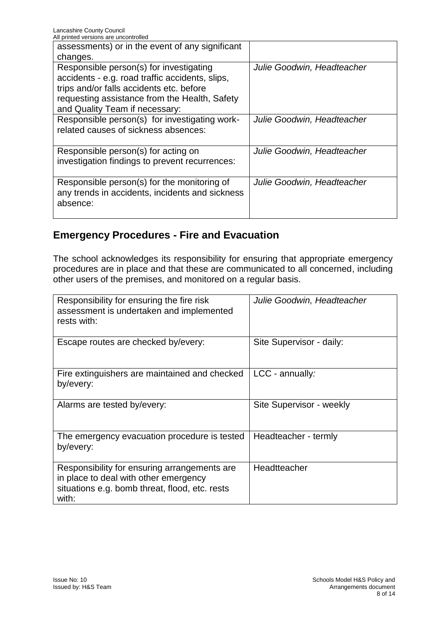| All printed versions are uncontrolled                                                                                                                                                                                     |                            |
|---------------------------------------------------------------------------------------------------------------------------------------------------------------------------------------------------------------------------|----------------------------|
| assessments) or in the event of any significant                                                                                                                                                                           |                            |
| changes.                                                                                                                                                                                                                  |                            |
| Responsible person(s) for investigating<br>accidents - e.g. road traffic accidents, slips,<br>trips and/or falls accidents etc. before<br>requesting assistance from the Health, Safety<br>and Quality Team if necessary: | Julie Goodwin, Headteacher |
| Responsible person(s) for investigating work-<br>related causes of sickness absences:                                                                                                                                     | Julie Goodwin, Headteacher |
| Responsible person(s) for acting on<br>investigation findings to prevent recurrences:                                                                                                                                     | Julie Goodwin, Headteacher |
| Responsible person(s) for the monitoring of<br>any trends in accidents, incidents and sickness<br>absence:                                                                                                                | Julie Goodwin, Headteacher |

# **Emergency Procedures - Fire and Evacuation**

The school acknowledges its responsibility for ensuring that appropriate emergency procedures are in place and that these are communicated to all concerned, including other users of the premises, and monitored on a regular basis.

| Responsibility for ensuring the fire risk<br>assessment is undertaken and implemented<br>rests with:                                             | Julie Goodwin, Headteacher |
|--------------------------------------------------------------------------------------------------------------------------------------------------|----------------------------|
| Escape routes are checked by/every:                                                                                                              | Site Supervisor - daily:   |
| Fire extinguishers are maintained and checked<br>by/every:                                                                                       | LCC - annually:            |
| Alarms are tested by/every:                                                                                                                      | Site Supervisor - weekly   |
| The emergency evacuation procedure is tested<br>by/every:                                                                                        | Headteacher - termly       |
| Responsibility for ensuring arrangements are<br>in place to deal with other emergency<br>situations e.g. bomb threat, flood, etc. rests<br>with: | Headtteacher               |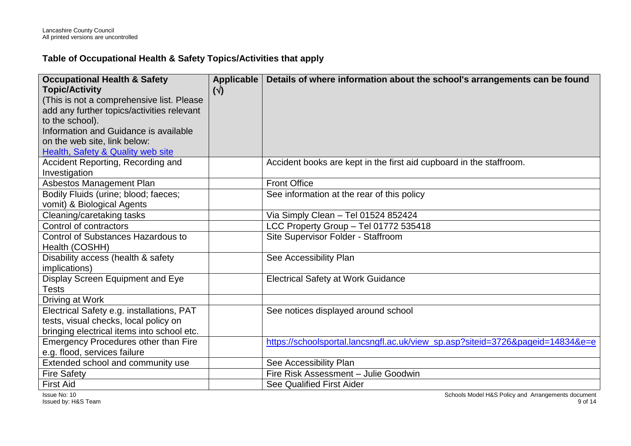### **Table of Occupational Health & Safety Topics/Activities that apply**

| <b>Occupational Health &amp; Safety</b><br><b>Topic/Activity</b><br>(This is not a comprehensive list. Please<br>add any further topics/activities relevant<br>to the school).<br>Information and Guidance is available<br>on the web site, link below: | Applicable<br>$(\vee)$ | Details of where information about the school's arrangements can be found      |
|---------------------------------------------------------------------------------------------------------------------------------------------------------------------------------------------------------------------------------------------------------|------------------------|--------------------------------------------------------------------------------|
| Health, Safety & Quality web site<br>Accident Reporting, Recording and<br>Investigation                                                                                                                                                                 |                        | Accident books are kept in the first aid cupboard in the staffroom.            |
| Asbestos Management Plan                                                                                                                                                                                                                                |                        | <b>Front Office</b>                                                            |
| Bodily Fluids (urine; blood; faeces;<br>vomit) & Biological Agents                                                                                                                                                                                      |                        | See information at the rear of this policy                                     |
| Cleaning/caretaking tasks                                                                                                                                                                                                                               |                        | Via Simply Clean - Tel 01524 852424                                            |
| Control of contractors                                                                                                                                                                                                                                  |                        | LCC Property Group - Tel 01772 535418                                          |
| Control of Substances Hazardous to<br>Health (COSHH)                                                                                                                                                                                                    |                        | Site Supervisor Folder - Staffroom                                             |
| Disability access (health & safety<br>implications)                                                                                                                                                                                                     |                        | See Accessibility Plan                                                         |
| Display Screen Equipment and Eye<br><b>Tests</b>                                                                                                                                                                                                        |                        | <b>Electrical Safety at Work Guidance</b>                                      |
| Driving at Work                                                                                                                                                                                                                                         |                        |                                                                                |
| Electrical Safety e.g. installations, PAT<br>tests, visual checks, local policy on<br>bringing electrical items into school etc.                                                                                                                        |                        | See notices displayed around school                                            |
| Emergency Procedures other than Fire                                                                                                                                                                                                                    |                        | https://schoolsportal.lancsngfl.ac.uk/view_sp.asp?siteid=3726&pageid=14834&e=e |
| e.g. flood, services failure                                                                                                                                                                                                                            |                        |                                                                                |
| Extended school and community use                                                                                                                                                                                                                       |                        | See Accessibility Plan                                                         |
| <b>Fire Safety</b>                                                                                                                                                                                                                                      |                        | Fire Risk Assessment - Julie Goodwin                                           |
| <b>First Aid</b>                                                                                                                                                                                                                                        |                        | <b>See Qualified First Aider</b>                                               |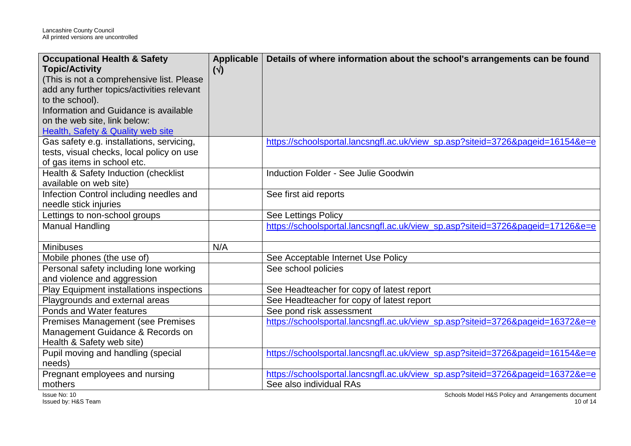| <b>Occupational Health &amp; Safety</b><br><b>Topic/Activity</b><br>(This is not a comprehensive list. Please<br>add any further topics/activities relevant<br>to the school).<br>Information and Guidance is available<br>on the web site, link below:<br>Health, Safety & Quality web site | Applicable<br>$(\sqrt{2})$ | Details of where information about the school's arrangements can be found                                 |
|----------------------------------------------------------------------------------------------------------------------------------------------------------------------------------------------------------------------------------------------------------------------------------------------|----------------------------|-----------------------------------------------------------------------------------------------------------|
| Gas safety e.g. installations, servicing,<br>tests, visual checks, local policy on use<br>of gas items in school etc.                                                                                                                                                                        |                            | https://schoolsportal.lancsngfl.ac.uk/view sp.asp?siteid=3726&pageid=16154&e=e                            |
| Health & Safety Induction (checklist<br>available on web site)                                                                                                                                                                                                                               |                            | Induction Folder - See Julie Goodwin                                                                      |
| Infection Control including needles and<br>needle stick injuries                                                                                                                                                                                                                             |                            | See first aid reports                                                                                     |
| Lettings to non-school groups                                                                                                                                                                                                                                                                |                            | See Lettings Policy                                                                                       |
| Manual Handling                                                                                                                                                                                                                                                                              |                            | https://schoolsportal.lancsngfl.ac.uk/view_sp.asp?siteid=3726&pageid=17126&e=e                            |
| <b>Minibuses</b>                                                                                                                                                                                                                                                                             | N/A                        |                                                                                                           |
| Mobile phones (the use of)                                                                                                                                                                                                                                                                   |                            | See Acceptable Internet Use Policy                                                                        |
| Personal safety including lone working<br>and violence and aggression                                                                                                                                                                                                                        |                            | See school policies                                                                                       |
| Play Equipment installations inspections                                                                                                                                                                                                                                                     |                            | See Headteacher for copy of latest report                                                                 |
| Playgrounds and external areas                                                                                                                                                                                                                                                               |                            | See Headteacher for copy of latest report                                                                 |
| Ponds and Water features                                                                                                                                                                                                                                                                     |                            | See pond risk assessment                                                                                  |
| <b>Premises Management (see Premises</b><br>Management Guidance & Records on<br>Health & Safety web site)                                                                                                                                                                                    |                            | https://schoolsportal.lancsngfl.ac.uk/view_sp.asp?siteid=3726&pageid=16372&e=e                            |
| Pupil moving and handling (special<br>needs)                                                                                                                                                                                                                                                 |                            | https://schoolsportal.lancsngfl.ac.uk/view_sp.asp?siteid=3726&pageid=16154&e=e                            |
| Pregnant employees and nursing<br>mothers                                                                                                                                                                                                                                                    |                            | https://schoolsportal.lancsngfl.ac.uk/view_sp.asp?siteid=3726&pageid=16372&e=e<br>See also individual RAs |

Issue No: 10 Issued by: H&S Team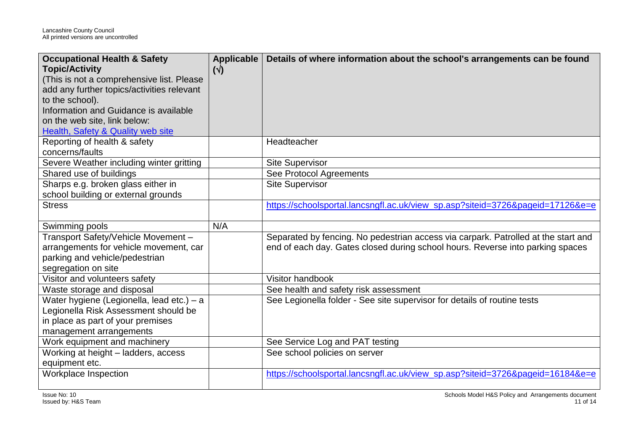| <b>Occupational Health &amp; Safety</b><br><b>Topic/Activity</b><br>(This is not a comprehensive list. Please<br>add any further topics/activities relevant<br>to the school).<br>Information and Guidance is available<br>on the web site, link below:<br>Health, Safety & Quality web site | Applicable<br>$(\vee)$ | Details of where information about the school's arrangements can be found                                                                                            |
|----------------------------------------------------------------------------------------------------------------------------------------------------------------------------------------------------------------------------------------------------------------------------------------------|------------------------|----------------------------------------------------------------------------------------------------------------------------------------------------------------------|
| Reporting of health & safety<br>concerns/faults                                                                                                                                                                                                                                              |                        | Headteacher                                                                                                                                                          |
| Severe Weather including winter gritting                                                                                                                                                                                                                                                     |                        | <b>Site Supervisor</b>                                                                                                                                               |
| Shared use of buildings                                                                                                                                                                                                                                                                      |                        | See Protocol Agreements                                                                                                                                              |
| Sharps e.g. broken glass either in<br>school building or external grounds                                                                                                                                                                                                                    |                        | <b>Site Supervisor</b>                                                                                                                                               |
| <b>Stress</b>                                                                                                                                                                                                                                                                                |                        | https://schoolsportal.lancsngfl.ac.uk/view_sp.asp?siteid=3726&pageid=17126&e=e                                                                                       |
| Swimming pools                                                                                                                                                                                                                                                                               | N/A                    |                                                                                                                                                                      |
| Transport Safety/Vehicle Movement -<br>arrangements for vehicle movement, car<br>parking and vehicle/pedestrian<br>segregation on site                                                                                                                                                       |                        | Separated by fencing. No pedestrian access via carpark. Patrolled at the start and<br>end of each day. Gates closed during school hours. Reverse into parking spaces |
| Visitor and volunteers safety                                                                                                                                                                                                                                                                |                        | Visitor handbook                                                                                                                                                     |
| Waste storage and disposal                                                                                                                                                                                                                                                                   |                        | See health and safety risk assessment                                                                                                                                |
| Water hygiene (Legionella, lead etc.) - a<br>Legionella Risk Assessment should be<br>in place as part of your premises<br>management arrangements                                                                                                                                            |                        | See Legionella folder - See site supervisor for details of routine tests                                                                                             |
| Work equipment and machinery                                                                                                                                                                                                                                                                 |                        | See Service Log and PAT testing                                                                                                                                      |
| Working at height - ladders, access<br>equipment etc.                                                                                                                                                                                                                                        |                        | See school policies on server                                                                                                                                        |
| Workplace Inspection                                                                                                                                                                                                                                                                         |                        | https://schoolsportal.lancsngfl.ac.uk/view_sp.asp?siteid=3726&pageid=16184&e=e                                                                                       |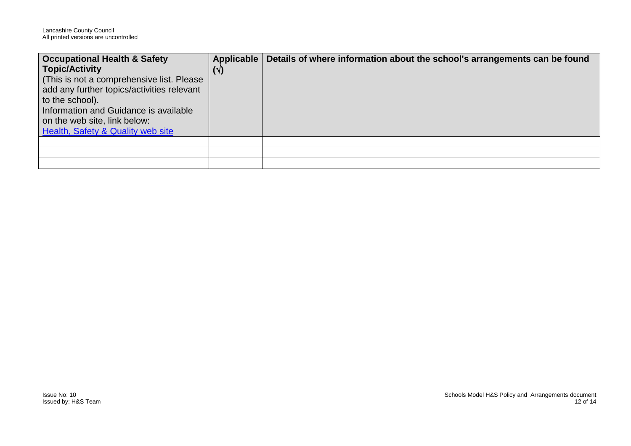| <b>Occupational Health &amp; Safety</b>      | Applicable | Details of where information about the school's arrangements can be found |
|----------------------------------------------|------------|---------------------------------------------------------------------------|
| <b>Topic/Activity</b>                        | $(\vee)$   |                                                                           |
| (This is not a comprehensive list. Please)   |            |                                                                           |
| add any further topics/activities relevant   |            |                                                                           |
| to the school).                              |            |                                                                           |
| Information and Guidance is available        |            |                                                                           |
| on the web site, link below:                 |            |                                                                           |
| <b>Health, Safety &amp; Quality web site</b> |            |                                                                           |
|                                              |            |                                                                           |
|                                              |            |                                                                           |
|                                              |            |                                                                           |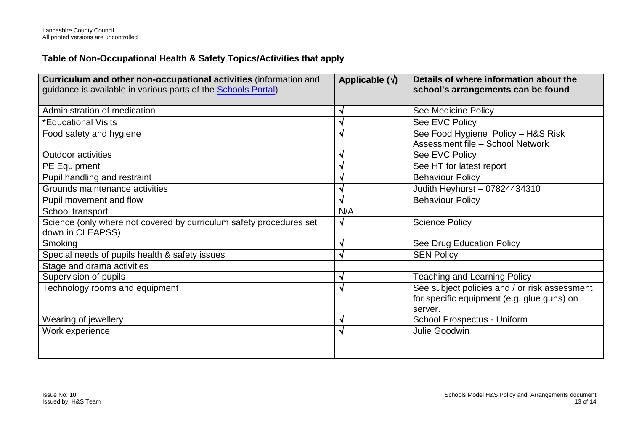### **Table of Non-Occupational Health & Safety Topics/Activities that apply**

| Curriculum and other non-occupational activities (information and<br>guidance is available in various parts of the <b>Schools Portal</b> ) | Applicable $(\sqrt{})$ | Details of where information about the<br>school's arrangements can be found                           |
|--------------------------------------------------------------------------------------------------------------------------------------------|------------------------|--------------------------------------------------------------------------------------------------------|
| Administration of medication                                                                                                               | V                      | See Medicine Policy                                                                                    |
| *Educational Visits                                                                                                                        | $\sqrt{}$              | See EVC Policy                                                                                         |
| Food safety and hygiene                                                                                                                    | $\sqrt{ }$             | See Food Hygiene Policy - H&S Risk<br>Assessment file - School Network                                 |
| <b>Outdoor activities</b>                                                                                                                  | V                      | See EVC Policy                                                                                         |
| PE Equipment                                                                                                                               | √                      | See HT for latest report                                                                               |
| Pupil handling and restraint                                                                                                               | $\sqrt{}$              | <b>Behaviour Policy</b>                                                                                |
| Grounds maintenance activities                                                                                                             | V                      | Judith Heyhurst - 07824434310                                                                          |
| Pupil movement and flow                                                                                                                    | N                      | <b>Behaviour Policy</b>                                                                                |
| School transport                                                                                                                           | N/A                    |                                                                                                        |
| Science (only where not covered by curriculum safety procedures set<br>down in CLEAPSS)                                                    | $\sqrt{}$              | <b>Science Policy</b>                                                                                  |
| Smoking                                                                                                                                    | $\sqrt{}$              | See Drug Education Policy                                                                              |
| Special needs of pupils health & safety issues                                                                                             | $\sqrt{}$              | <b>SEN Policy</b>                                                                                      |
| Stage and drama activities                                                                                                                 |                        |                                                                                                        |
| Supervision of pupils                                                                                                                      | N                      | <b>Teaching and Learning Policy</b>                                                                    |
| Technology rooms and equipment                                                                                                             | $\sqrt{ }$             | See subject policies and / or risk assessment<br>for specific equipment (e.g. glue guns) on<br>server. |
| Wearing of jewellery                                                                                                                       | $\sqrt{ }$             | School Prospectus - Uniform                                                                            |
| Work experience                                                                                                                            | $\sqrt{}$              | Julie Goodwin                                                                                          |
|                                                                                                                                            |                        |                                                                                                        |
|                                                                                                                                            |                        |                                                                                                        |